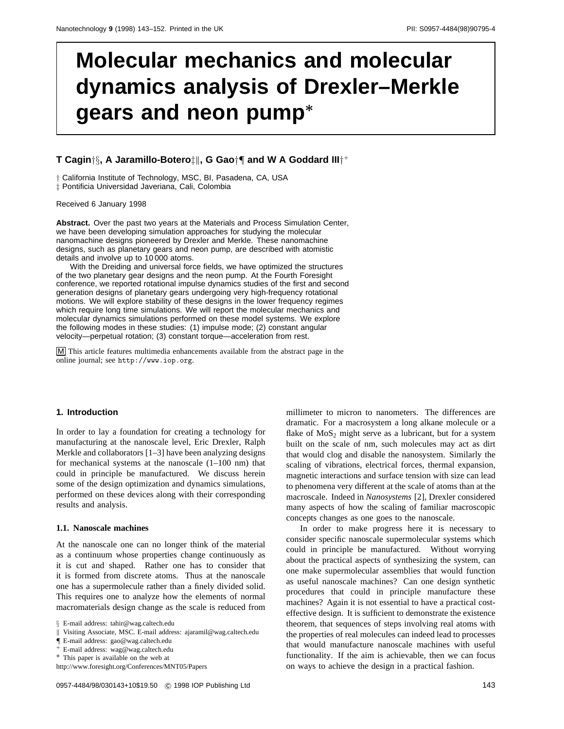# **Molecular mechanics and molecular dynamics analysis of Drexler–Merkle gears and neon pump***<sup>∗</sup>*

# **T Cagin***†§***, A Jaramillo-Botero***‡*k**, G Gao***†¶* **and W A Goddard III***†*<sup>+</sup>

*†* California Institute of Technology, MSC, BI, Pasadena, CA, USA *‡* Pontificia Universidad Javeriana, Cali, Colombia

Received 6 January 1998

**Abstract.** Over the past two years at the Materials and Process Simulation Center, we have been developing simulation approaches for studying the molecular nanomachine designs pioneered by Drexler and Merkle. These nanomachine designs, such as planetary gears and neon pump, are described with atomistic details and involve up to 10 000 atoms.

With the Dreiding and universal force fields, we have optimized the structures of the two planetary gear designs and the neon pump. At the Fourth Foresight conference, we reported rotational impulse dynamics studies of the first and second generation designs of planetary gears undergoing very high-frequency rotational motions. We will explore stability of these designs in the lower frequency regimes which require long time simulations. We will report the molecular mechanics and molecular dynamics simulations performed on these model systems. We explore the following modes in these studies: (1) impulse mode; (2) constant angular velocity—perpetual rotation; (3) constant torque—acceleration from rest.

M This article features multimedia enhancements available from the abstract page in the online journal; see http://www.iop.org.

# **1. Introduction**

In order to lay a foundation for creating a technology for manufacturing at the nanoscale level, Eric Drexler, Ralph Merkle and collaborators [1–3] have been analyzing designs for mechanical systems at the nanoscale (1–100 nm) that could in principle be manufactured. We discuss herein some of the design optimization and dynamics simulations, performed on these devices along with their corresponding results and analysis.

#### **1.1. Nanoscale machines**

At the nanoscale one can no longer think of the material as a continuum whose properties change continuously as it is cut and shaped. Rather one has to consider that it is formed from discrete atoms. Thus at the nanoscale one has a supermolecule rather than a finely divided solid. This requires one to analyze how the elements of normal macromaterials design change as the scale is reduced from millimeter to micron to nanometers. The differences are dramatic. For a macrosystem a long alkane molecule or a flake of  $MoS<sub>2</sub>$  might serve as a lubricant, but for a system built on the scale of nm, such molecules may act as dirt that would clog and disable the nanosystem. Similarly the scaling of vibrations, electrical forces, thermal expansion, magnetic interactions and surface tension with size can lead to phenomena very different at the scale of atoms than at the macroscale. Indeed in *Nanosystems* [2], Drexler considered many aspects of how the scaling of familiar macroscopic concepts changes as one goes to the nanoscale.

In order to make progress here it is necessary to consider specific nanoscale supermolecular systems which could in principle be manufactured. Without worrying about the practical aspects of synthesizing the system, can one make supermolecular assemblies that would function as useful nanoscale machines? Can one design synthetic procedures that could in principle manufacture these machines? Again it is not essential to have a practical costeffective design. It is sufficient to demonstrate the existence theorem, that sequences of steps involving real atoms with the properties of real molecules can indeed lead to processes that would manufacture nanoscale machines with useful functionality. If the aim is achievable, then we can focus on ways to achieve the design in a practical fashion.

*<sup>§</sup>* E-mail address: tahir@wag.caltech.edu

<sup>||</sup> Visiting Associate, MSC. E-mail address: ajaramil@wag.caltech.edu  $\P$  E-mail address: gao@wag.caltech.edu

*<sup>¶</sup>* E-mail address: gao@wag.caltech.edu <sup>+</sup> E-mail address: wag@wag.caltech.edu

<sup>∗</sup> This paper is available on the web at

http://www.foresight.org/Conferences/MNT05/Papers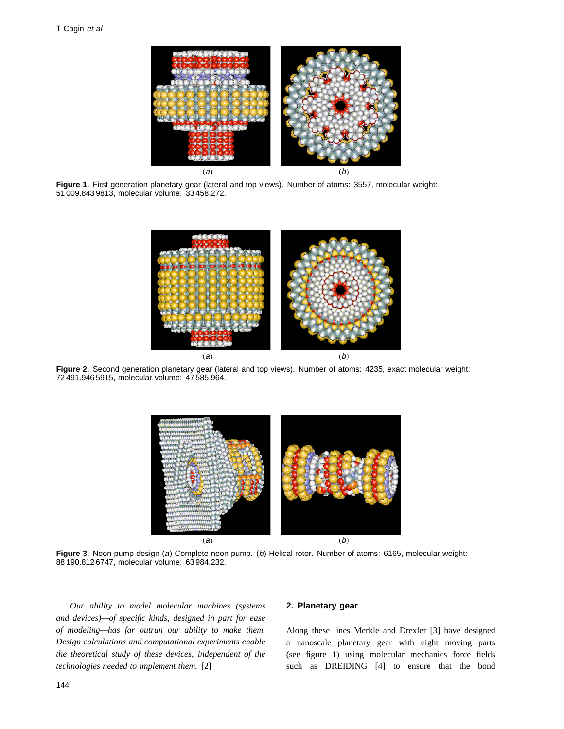

**Figure 1.** First generation planetary gear (lateral and top views). Number of atoms: 3557, molecular weight: 51 009.843 9813, molecular volume: 33 458.272.



**Figure 2.** Second generation planetary gear (lateral and top views). Number of atoms: 4235, exact molecular weight: 72 491.946 5915, molecular volume: 47 585.964.



Figure 3. Neon pump design (a) Complete neon pump. (b) Helical rotor. Number of atoms: 6165, molecular weight: 88 190.812 6747, molecular volume: 63 984.232.

*Our ability to model molecular machines (systems and devices)—of specific kinds, designed in part for ease of modeling—has far outrun our ability to make them. Design calculations and computational experiments enable the theoretical study of these devices, independent of the technologies needed to implement them.* [2]

#### **2. Planetary gear**

Along these lines Merkle and Drexler [3] have designed a nanoscale planetary gear with eight moving parts (see figure 1) using molecular mechanics force fields such as DREIDING [4] to ensure that the bond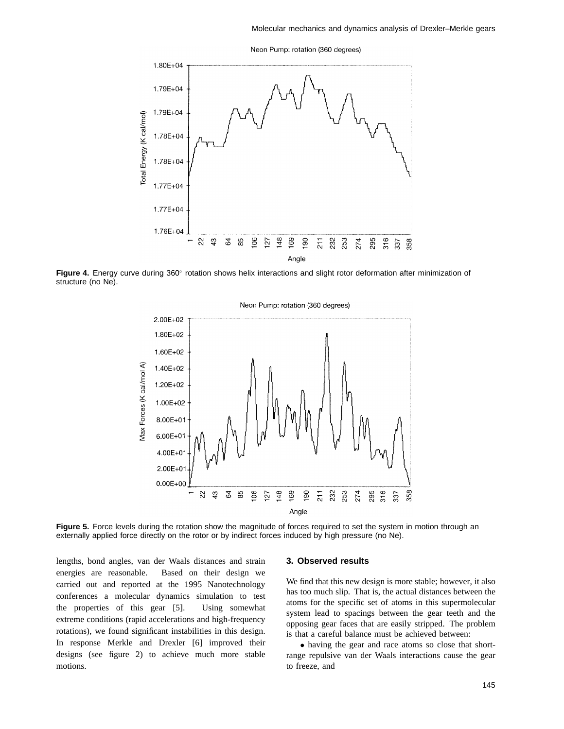

Neon Pump: rotation (360 degrees)

Angle **Figure 4.** Energy curve during 360◦ rotation shows helix interactions and slight rotor deformation after minimization of



Neon Pump: rotation (360 degrees)

**Figure 5.** Force levels during the rotation show the magnitude of forces required to set the system in motion through an externally applied force directly on the rotor or by indirect forces induced by high pressure (no Ne).

lengths, bond angles, van der Waals distances and strain energies are reasonable. Based on their design we carried out and reported at the 1995 Nanotechnology conferences a molecular dynamics simulation to test the properties of this gear [5]. Using somewhat extreme conditions (rapid accelerations and high-frequency rotations), we found significant instabilities in this design. In response Merkle and Drexler [6] improved their designs (see figure 2) to achieve much more stable motions.

structure (no Ne).

#### **3. Observed results**

We find that this new design is more stable; however, it also has too much slip. That is, the actual distances between the atoms for the specific set of atoms in this supermolecular system lead to spacings between the gear teeth and the opposing gear faces that are easily stripped. The problem is that a careful balance must be achieved between:

• having the gear and race atoms so close that shortrange repulsive van der Waals interactions cause the gear to freeze, and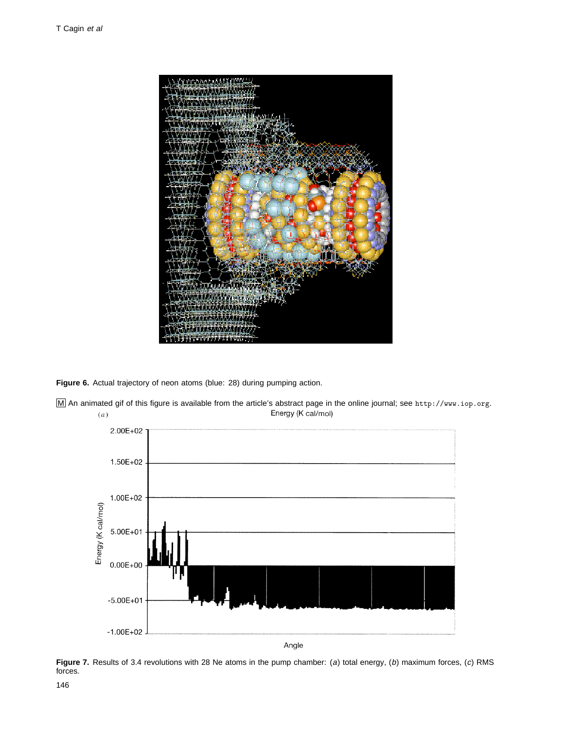

**Figure 6.** Actual trajectory of neon atoms (blue: 28) during pumping action.





Figure 7. Results of 3.4 revolutions with 28 Ne atoms in the pump chamber: (a) total energy, (b) maximum forces, (c) RMS forces.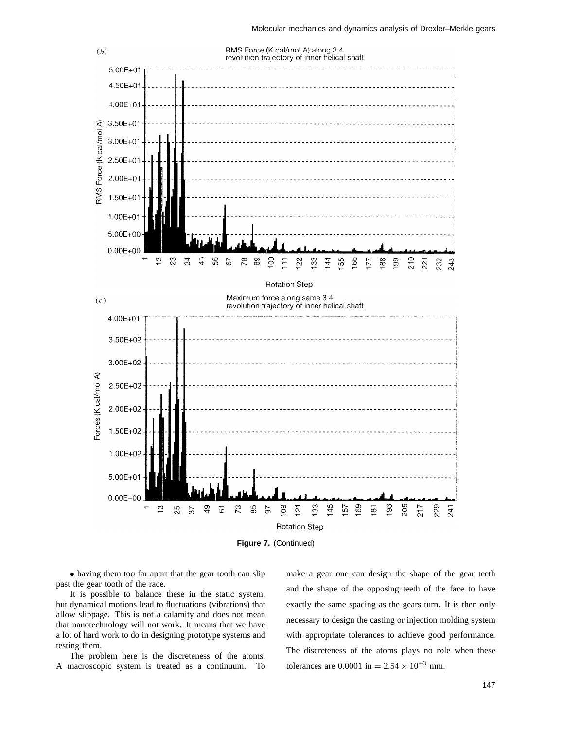



• having them too far apart that the gear tooth can slip past the gear tooth of the race.

It is possible to balance these in the static system, but dynamical motions lead to fluctuations (vibrations) that allow slippage. This is not a calamity and does not mean that nanotechnology will not work. It means that we have a lot of hard work to do in designing prototype systems and testing them.

The problem here is the discreteness of the atoms. A macroscopic system is treated as a continuum. To make a gear one can design the shape of the gear teeth and the shape of the opposing teeth of the face to have exactly the same spacing as the gears turn. It is then only necessary to design the casting or injection molding system with appropriate tolerances to achieve good performance. The discreteness of the atoms plays no role when these tolerances are 0.0001 in =  $2.54 \times 10^{-3}$  mm.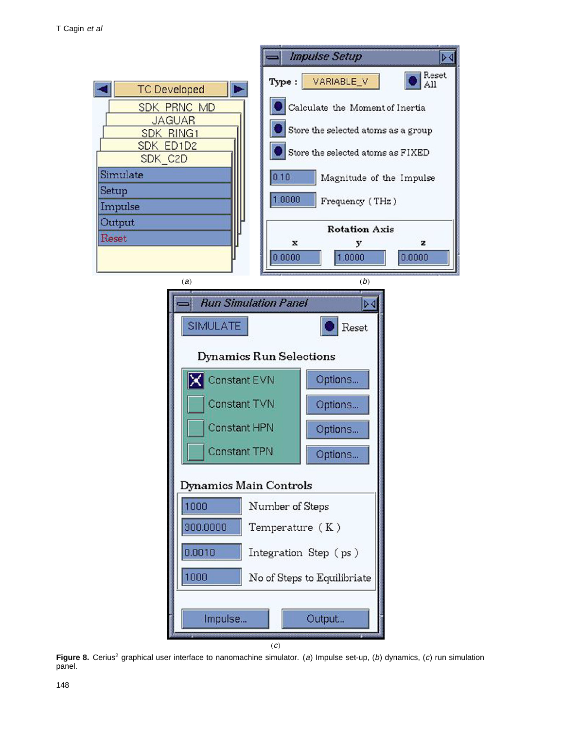

Figure 8. Cerius<sup>2</sup> graphical user interface to nanomachine simulator. (a) Impulse set-up, (b) dynamics, (c) run simulation panel.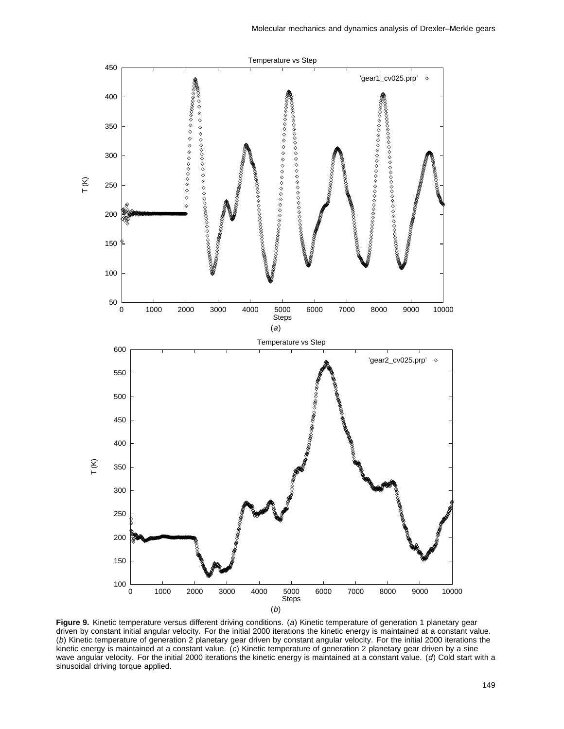

**Figure 9.** Kinetic temperature versus different driving conditions. (a) Kinetic temperature of generation 1 planetary gear driven by constant initial angular velocity. For the initial 2000 iterations the kinetic energy is maintained at a constant value. (b) Kinetic temperature of generation 2 planetary gear driven by constant angular velocity. For the initial 2000 iterations the kinetic energy is maintained at a constant value. (c) Kinetic temperature of generation 2 planetary gear driven by a sine wave angular velocity. For the initial 2000 iterations the kinetic energy is maintained at a constant value. (d) Cold start with a sinusoidal driving torque applied.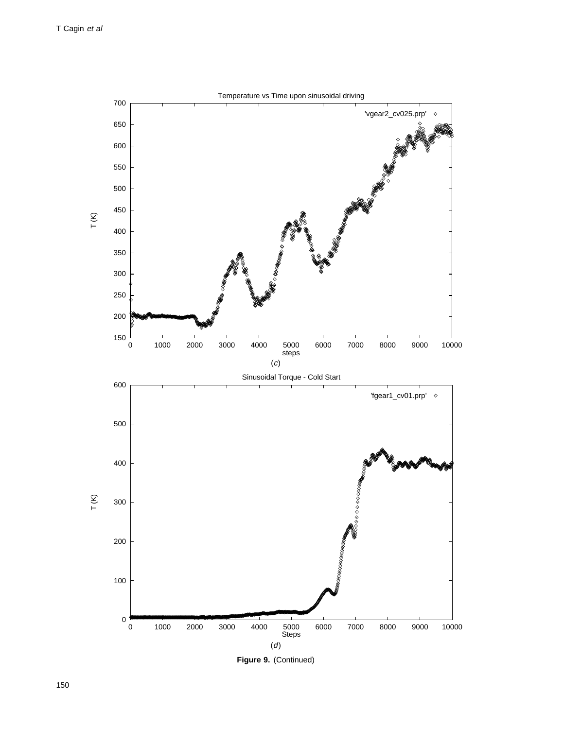

**Figure 9.** (Continued)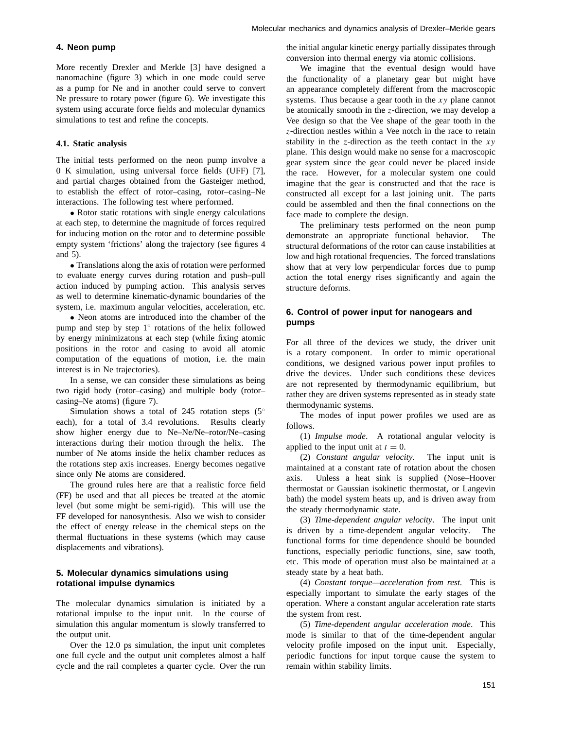## **4. Neon pump**

More recently Drexler and Merkle [3] have designed a nanomachine (figure 3) which in one mode could serve as a pump for Ne and in another could serve to convert Ne pressure to rotary power (figure 6). We investigate this system using accurate force fields and molecular dynamics simulations to test and refine the concepts.

### **4.1. Static analysis**

The initial tests performed on the neon pump involve a 0 K simulation, using universal force fields (UFF) [7], and partial charges obtained from the Gasteiger method, to establish the effect of rotor–casing, rotor–casing–Ne interactions. The following test where performed.

• Rotor static rotations with single energy calculations at each step, to determine the magnitude of forces required for inducing motion on the rotor and to determine possible empty system 'frictions' along the trajectory (see figures 4 and 5).

• Translations along the axis of rotation were performed to evaluate energy curves during rotation and push–pull action induced by pumping action. This analysis serves as well to determine kinematic-dynamic boundaries of the system, i.e. maximum angular velocities, acceleration, etc.

• Neon atoms are introduced into the chamber of the pump and step by step 1◦ rotations of the helix followed by energy minimizatons at each step (while fixing atomic positions in the rotor and casing to avoid all atomic computation of the equations of motion, i.e. the main interest is in Ne trajectories).

In a sense, we can consider these simulations as being two rigid body (rotor–casing) and multiple body (rotor– casing–Ne atoms) (figure 7).

Simulation shows a total of 245 rotation steps  $(5<sup>°</sup>)$ each), for a total of 3.4 revolutions. Results clearly show higher energy due to Ne–Ne/Ne–rotor/Ne–casing interactions during their motion through the helix. The number of Ne atoms inside the helix chamber reduces as the rotations step axis increases. Energy becomes negative since only Ne atoms are considered.

The ground rules here are that a realistic force field (FF) be used and that all pieces be treated at the atomic level (but some might be semi-rigid). This will use the FF developed for nanosynthesis. Also we wish to consider the effect of energy release in the chemical steps on the thermal fluctuations in these systems (which may cause displacements and vibrations).

# **5. Molecular dynamics simulations using rotational impulse dynamics**

The molecular dynamics simulation is initiated by a rotational impulse to the input unit. In the course of simulation this angular momentum is slowly transferred to the output unit.

Over the 12.0 ps simulation, the input unit completes one full cycle and the output unit completes almost a half cycle and the rail completes a quarter cycle. Over the run the initial angular kinetic energy partially dissipates through conversion into thermal energy via atomic collisions.

We imagine that the eventual design would have the functionality of a planetary gear but might have an appearance completely different from the macroscopic systems. Thus because a gear tooth in the *xy* plane cannot be atomically smooth in the *z*-direction, we may develop a Vee design so that the Vee shape of the gear tooth in the *z*-direction nestles within a Vee notch in the race to retain stability in the *z*-direction as the teeth contact in the *xy* plane. This design would make no sense for a macroscopic gear system since the gear could never be placed inside the race. However, for a molecular system one could imagine that the gear is constructed and that the race is constructed all except for a last joining unit. The parts could be assembled and then the final connections on the face made to complete the design.

The preliminary tests performed on the neon pump demonstrate an appropriate functional behavior. The structural deformations of the rotor can cause instabilities at low and high rotational frequencies. The forced translations show that at very low perpendicular forces due to pump action the total energy rises significantly and again the structure deforms.

# **6. Control of power input for nanogears and pumps**

For all three of the devices we study, the driver unit is a rotary component. In order to mimic operational conditions, we designed various power input profiles to drive the devices. Under such conditions these devices are not represented by thermodynamic equilibrium, but rather they are driven systems represented as in steady state thermodynamic systems.

The modes of input power profiles we used are as follows.

(1) *Impulse mode*. A rotational angular velocity is applied to the input unit at  $t = 0$ .

(2) *Constant angular velocity*. The input unit is maintained at a constant rate of rotation about the chosen axis. Unless a heat sink is supplied (Nose–Hoover thermostat or Gaussian isokinetic thermostat, or Langevin bath) the model system heats up, and is driven away from the steady thermodynamic state.

(3) *Time-dependent angular velocity*. The input unit is driven by a time-dependent angular velocity. The functional forms for time dependence should be bounded functions, especially periodic functions, sine, saw tooth, etc. This mode of operation must also be maintained at a steady state by a heat bath.

(4) *Constant torque—acceleration from rest*. This is especially important to simulate the early stages of the operation. Where a constant angular acceleration rate starts the system from rest.

(5) *Time-dependent angular acceleration mode*. This mode is similar to that of the time-dependent angular velocity profile imposed on the input unit. Especially, periodic functions for input torque cause the system to remain within stability limits.